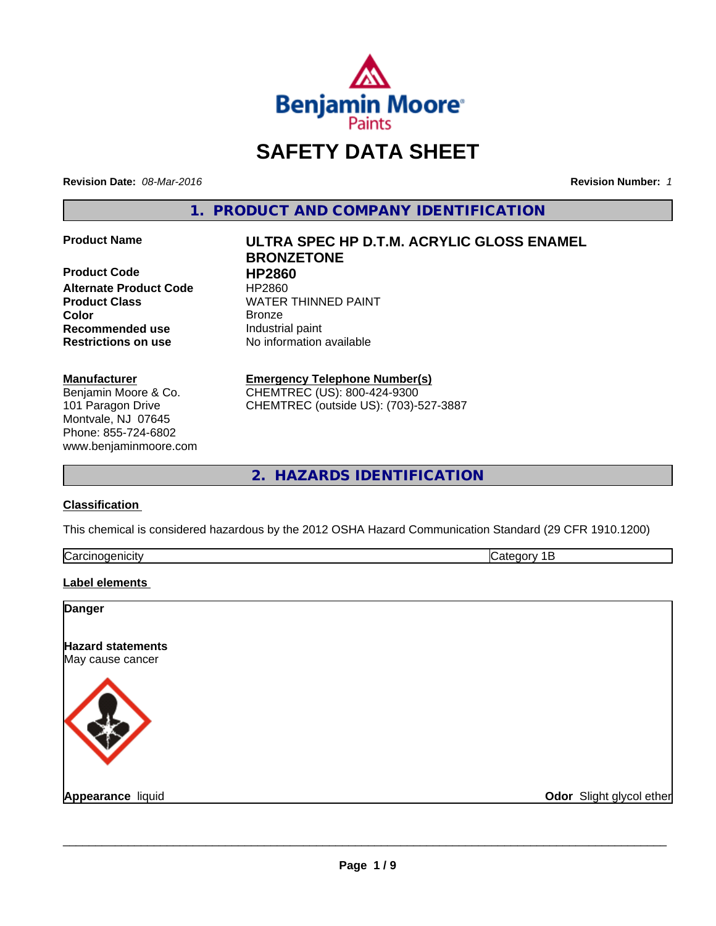

# **SAFETY DATA SHEET**

**Revision Date:** *08-Mar-2016* **Revision Number:** *1*

**1. PRODUCT AND COMPANY IDENTIFICATION**

**Product Code HP2860 Alternate Product Code HP2860<br>Product Class WATER Color** Bronze **Recommended use** Industrial paint

#### **Manufacturer**

Benjamin Moore & Co. 101 Paragon Drive Montvale, NJ 07645 Phone: 855-724-6802 www.benjaminmoore.com

# **Product Name ULTRA SPEC HP D.T.M. ACRYLIC GLOSS ENAMEL BRONZETONE WATER THINNED PAINT**

**Restrictions on use** No information available

**Emergency Telephone Number(s)** CHEMTREC (US): 800-424-9300 CHEMTREC (outside US): (703)-527-3887

**2. HAZARDS IDENTIFICATION**

#### **Classification**

This chemical is considered hazardous by the 2012 OSHA Hazard Communication Standard (29 CFR 1910.1200)

| $\overline{\phantom{0}}$ |  |
|--------------------------|--|
|                          |  |

#### **Label elements**

| <b>Danger</b>                                |                          |
|----------------------------------------------|--------------------------|
| <b>Hazard statements</b><br>May cause cancer |                          |
|                                              |                          |
| Appearance liquid                            | Odor Slight glycol ether |

 $\overline{\phantom{a}}$  ,  $\overline{\phantom{a}}$  ,  $\overline{\phantom{a}}$  ,  $\overline{\phantom{a}}$  ,  $\overline{\phantom{a}}$  ,  $\overline{\phantom{a}}$  ,  $\overline{\phantom{a}}$  ,  $\overline{\phantom{a}}$  ,  $\overline{\phantom{a}}$  ,  $\overline{\phantom{a}}$  ,  $\overline{\phantom{a}}$  ,  $\overline{\phantom{a}}$  ,  $\overline{\phantom{a}}$  ,  $\overline{\phantom{a}}$  ,  $\overline{\phantom{a}}$  ,  $\overline{\phantom{a}}$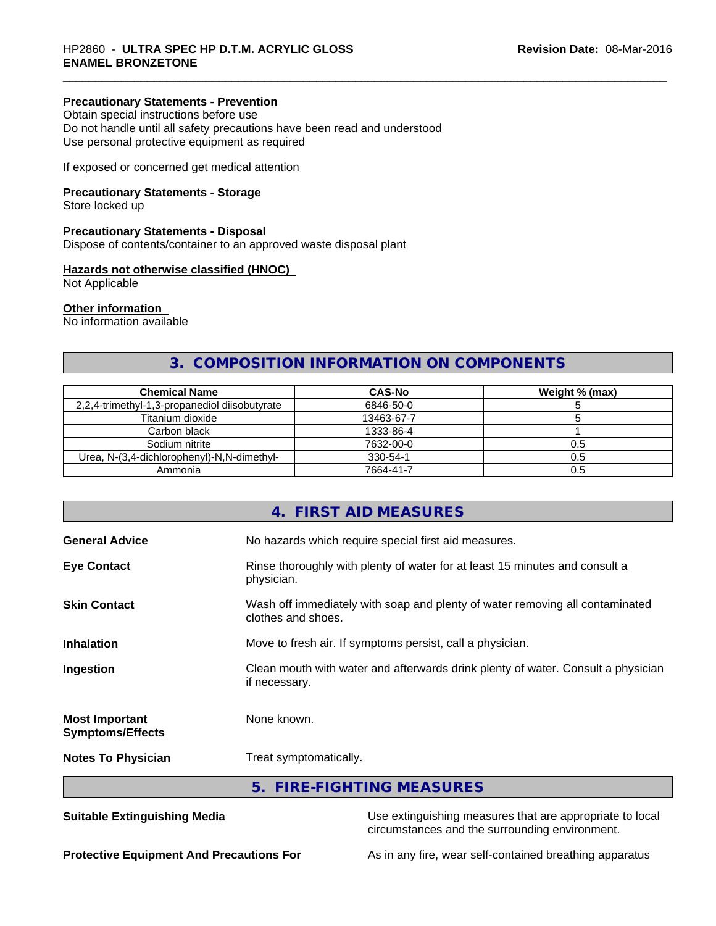#### **Precautionary Statements - Prevention**

Obtain special instructions before use Do not handle until all safety precautions have been read and understood Use personal protective equipment as required

If exposed or concerned get medical attention

#### **Precautionary Statements - Storage**

Store locked up

#### **Precautionary Statements - Disposal**

Dispose of contents/container to an approved waste disposal plant

#### **Hazards not otherwise classified (HNOC)**

Not Applicable

#### **Other information**

No information available

# **3. COMPOSITION INFORMATION ON COMPONENTS**

| <b>Chemical Name</b>                          | <b>CAS-No</b> | Weight % (max) |
|-----------------------------------------------|---------------|----------------|
| 2,2,4-trimethyl-1,3-propanediol diisobutyrate | 6846-50-0     |                |
| Titanium dioxide                              | 13463-67-7    |                |
| Carbon black                                  | 1333-86-4     |                |
| Sodium nitrite                                | 7632-00-0     | U.5            |
| Urea, N-(3,4-dichlorophenyl)-N,N-dimethyl-    | 330-54-1      | 0.5            |
| Ammonia                                       | 7664-41-7     | U.5            |

|                                                  | 4. FIRST AID MEASURES                                                                              |
|--------------------------------------------------|----------------------------------------------------------------------------------------------------|
| <b>General Advice</b>                            | No hazards which require special first aid measures.                                               |
| <b>Eye Contact</b>                               | Rinse thoroughly with plenty of water for at least 15 minutes and consult a<br>physician.          |
| <b>Skin Contact</b>                              | Wash off immediately with soap and plenty of water removing all contaminated<br>clothes and shoes. |
| <b>Inhalation</b>                                | Move to fresh air. If symptoms persist, call a physician.                                          |
| Ingestion                                        | Clean mouth with water and afterwards drink plenty of water. Consult a physician<br>if necessary.  |
| <b>Most Important</b><br><b>Symptoms/Effects</b> | None known.                                                                                        |
| <b>Notes To Physician</b>                        | Treat symptomatically.                                                                             |
|                                                  | 5. FIRE-FIGHTING MEASURES                                                                          |

**Suitable Extinguishing Media** Use extinguishing measures that are appropriate to local circumstances and the surrounding environment.

**Protective Equipment And Precautions For** As in any fire, wear self-contained breathing apparatus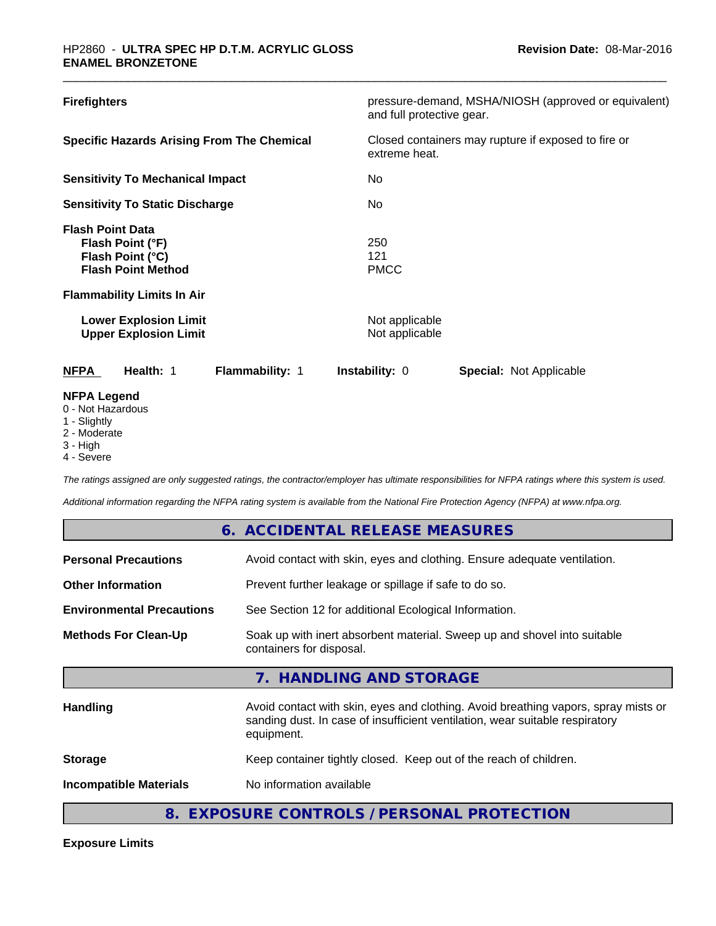| <b>Firefighters</b>                                                                                                                                                                               | pressure-demand, MSHA/NIOSH (approved or equivalent)<br>and full protective gear. |  |  |
|---------------------------------------------------------------------------------------------------------------------------------------------------------------------------------------------------|-----------------------------------------------------------------------------------|--|--|
| <b>Specific Hazards Arising From The Chemical</b>                                                                                                                                                 | Closed containers may rupture if exposed to fire or<br>extreme heat.              |  |  |
| <b>Sensitivity To Mechanical Impact</b>                                                                                                                                                           | No.                                                                               |  |  |
| <b>Sensitivity To Static Discharge</b>                                                                                                                                                            | No.                                                                               |  |  |
| <b>Flash Point Data</b><br>Flash Point (°F)<br>Flash Point (°C)<br><b>Flash Point Method</b><br><b>Flammability Limits In Air</b><br><b>Lower Explosion Limit</b><br><b>Upper Explosion Limit</b> | 250<br>121<br><b>PMCC</b><br>Not applicable<br>Not applicable                     |  |  |
| <b>NFPA</b><br>Health: 1<br>Flammability: 1                                                                                                                                                       | <b>Instability: 0</b><br><b>Special: Not Applicable</b>                           |  |  |
| <b>NFPA Legend</b><br>0 - Not Hazardous<br>1 - Slightly<br>2 Moderate                                                                                                                             |                                                                                   |  |  |

2 - Moderate

**Exposure Limits**

3 - High

г

4 - Severe

*The ratings assigned are only suggested ratings, the contractor/employer has ultimate responsibilities for NFPA ratings where this system is used.*

*Additional information regarding the NFPA rating system is available from the National Fire Protection Agency (NFPA) at www.nfpa.org.*

|                                  | 6. ACCIDENTAL RELEASE MEASURES                                                                                                                                                   |
|----------------------------------|----------------------------------------------------------------------------------------------------------------------------------------------------------------------------------|
| <b>Personal Precautions</b>      | Avoid contact with skin, eyes and clothing. Ensure adequate ventilation.                                                                                                         |
| <b>Other Information</b>         | Prevent further leakage or spillage if safe to do so.                                                                                                                            |
| <b>Environmental Precautions</b> | See Section 12 for additional Ecological Information.                                                                                                                            |
| <b>Methods For Clean-Up</b>      | Soak up with inert absorbent material. Sweep up and shovel into suitable<br>containers for disposal.                                                                             |
|                                  | 7. HANDLING AND STORAGE                                                                                                                                                          |
| <b>Handling</b>                  | Avoid contact with skin, eyes and clothing. Avoid breathing vapors, spray mists or<br>sanding dust. In case of insufficient ventilation, wear suitable respiratory<br>equipment. |
| <b>Storage</b>                   | Keep container tightly closed. Keep out of the reach of children.                                                                                                                |
| <b>Incompatible Materials</b>    | No information available                                                                                                                                                         |
|                                  | 8. EXPOSURE CONTROLS / PERSONAL PROTECTION                                                                                                                                       |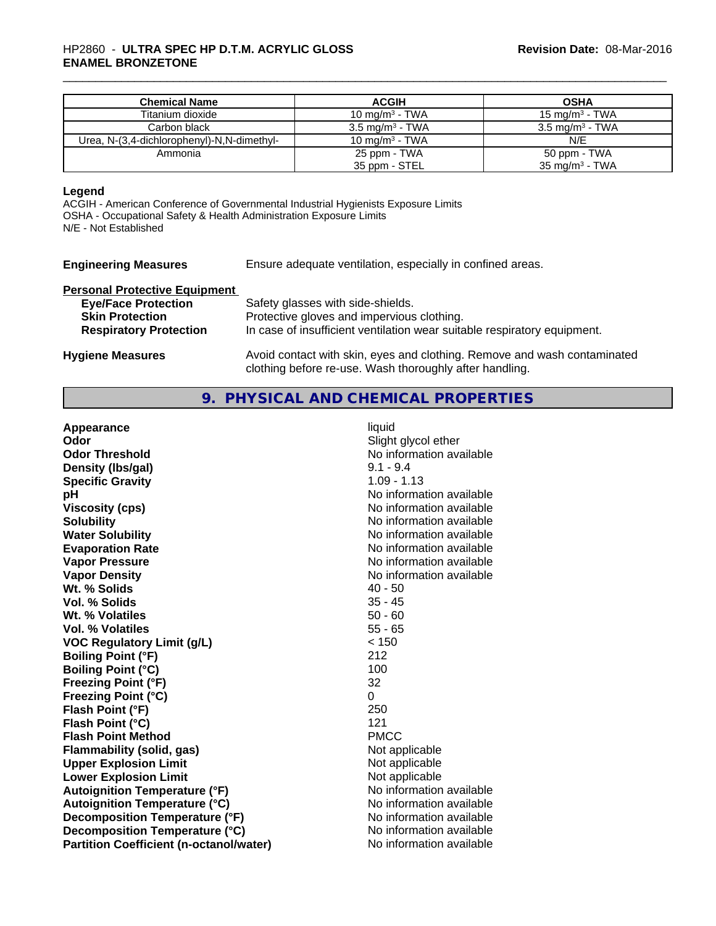#### \_\_\_\_\_\_\_\_\_\_\_\_\_\_\_\_\_\_\_\_\_\_\_\_\_\_\_\_\_\_\_\_\_\_\_\_\_\_\_\_\_\_\_\_\_\_\_\_\_\_\_\_\_\_\_\_\_\_\_\_\_\_\_\_\_\_\_\_\_\_\_\_\_\_\_\_\_\_\_\_\_\_\_\_\_\_\_\_\_\_\_\_\_ HP2860 - **ULTRA SPEC HP D.T.M. ACRYLIC GLOSS ENAMEL BRONZETONE**

| <b>Chemical Name</b>                       | <b>ACGIH</b>               | <b>OSHA</b>                |
|--------------------------------------------|----------------------------|----------------------------|
| Titanium dioxide                           | 10 mg/m $3$ - TWA          | 15 mg/m $3$ - TWA          |
| Carbon black                               | $3.5 \text{ mg/m}^3$ - TWA | $3.5 \text{ mg/m}^3$ - TWA |
| Urea, N-(3,4-dichlorophenyl)-N,N-dimethyl- | 10 mg/m $3$ - TWA          | N/E                        |
| Ammonia                                    | 25 ppm - TWA               | 50 ppm - TWA               |
|                                            | 35 ppm - STEL              | $35 \text{ mg/m}^3$ - TWA  |

#### **Legend**

ACGIH - American Conference of Governmental Industrial Hygienists Exposure Limits OSHA - Occupational Safety & Health Administration Exposure Limits N/E - Not Established

| <b>Engineering Measures</b>          | Ensure adequate ventilation, especially in confined areas.               |
|--------------------------------------|--------------------------------------------------------------------------|
| <b>Personal Protective Equipment</b> |                                                                          |
| <b>Eye/Face Protection</b>           | Safety glasses with side-shields.                                        |
| <b>Skin Protection</b>               | Protective gloves and impervious clothing.                               |
| <b>Respiratory Protection</b>        | In case of insufficient ventilation wear suitable respiratory equipment. |
|                                      |                                                                          |

# **9. PHYSICAL AND CHEMICAL PROPERTIES**

clothing before re-use. Wash thoroughly after handling.

**Hygiene Measures** Avoid contact with skin, eyes and clothing. Remove and wash contaminated

| Appearance                                     | liquid                   |
|------------------------------------------------|--------------------------|
| Odor                                           | Slight glycol ether      |
| <b>Odor Threshold</b>                          | No information available |
| Density (Ibs/gal)                              | $9.1 - 9.4$              |
| <b>Specific Gravity</b>                        | $1.09 - 1.13$            |
| pH                                             | No information available |
| <b>Viscosity (cps)</b>                         | No information available |
| <b>Solubility</b>                              | No information available |
| <b>Water Solubility</b>                        | No information available |
| <b>Evaporation Rate</b>                        | No information available |
| <b>Vapor Pressure</b>                          | No information available |
| <b>Vapor Density</b>                           | No information available |
| Wt. % Solids                                   | $40 - 50$                |
| Vol. % Solids                                  | 35 - 45                  |
| Wt. % Volatiles                                | $50 - 60$                |
| <b>Vol. % Volatiles</b>                        | $55 - 65$                |
| <b>VOC Regulatory Limit (g/L)</b>              | < 150                    |
| <b>Boiling Point (°F)</b>                      | 212                      |
| <b>Boiling Point (°C)</b>                      | 100                      |
| <b>Freezing Point (°F)</b>                     | 32                       |
| <b>Freezing Point (°C)</b>                     | $\Omega$                 |
| Flash Point (°F)                               | 250                      |
| Flash Point (°C)                               | 121                      |
| <b>Flash Point Method</b>                      | <b>PMCC</b>              |
| Flammability (solid, gas)                      | Not applicable           |
| <b>Upper Explosion Limit</b>                   | Not applicable           |
| <b>Lower Explosion Limit</b>                   | Not applicable           |
| <b>Autoignition Temperature (°F)</b>           | No information available |
| <b>Autoignition Temperature (°C)</b>           | No information available |
| Decomposition Temperature (°F)                 | No information available |
| Decomposition Temperature (°C)                 | No information available |
| <b>Partition Coefficient (n-octanol/water)</b> | No information available |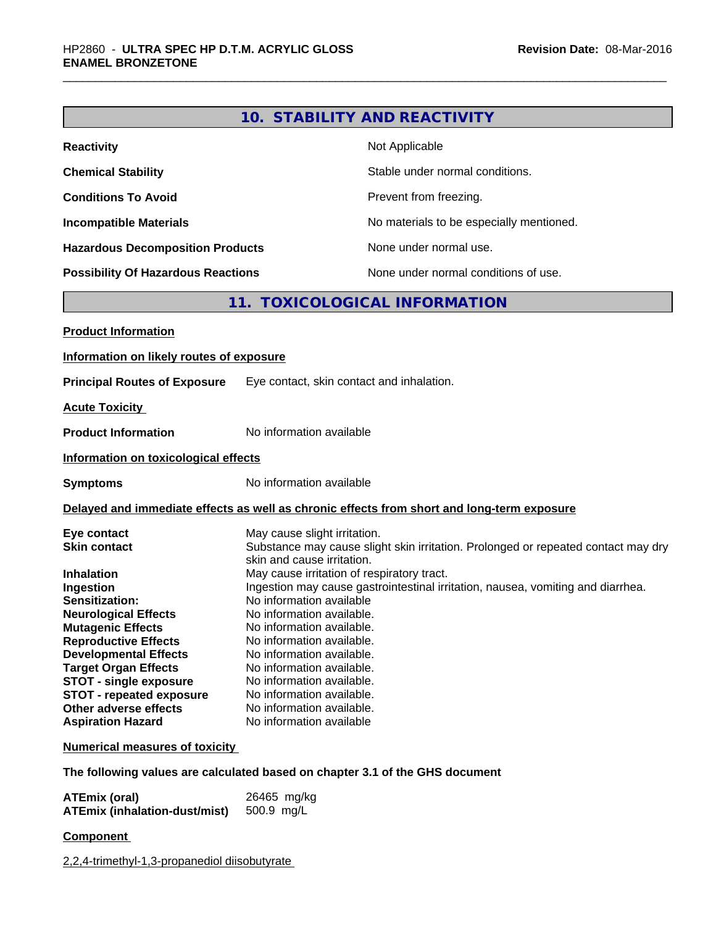|                                                                                                                                                                                                                                                                                                                                                                   | 10. STABILITY AND REACTIVITY                                                                                                                                                                                                                                                                                                                                                                                                                                                                                                                                                     |  |  |
|-------------------------------------------------------------------------------------------------------------------------------------------------------------------------------------------------------------------------------------------------------------------------------------------------------------------------------------------------------------------|----------------------------------------------------------------------------------------------------------------------------------------------------------------------------------------------------------------------------------------------------------------------------------------------------------------------------------------------------------------------------------------------------------------------------------------------------------------------------------------------------------------------------------------------------------------------------------|--|--|
| <b>Reactivity</b>                                                                                                                                                                                                                                                                                                                                                 | Not Applicable                                                                                                                                                                                                                                                                                                                                                                                                                                                                                                                                                                   |  |  |
| <b>Chemical Stability</b>                                                                                                                                                                                                                                                                                                                                         | Stable under normal conditions.                                                                                                                                                                                                                                                                                                                                                                                                                                                                                                                                                  |  |  |
| <b>Conditions To Avoid</b>                                                                                                                                                                                                                                                                                                                                        | Prevent from freezing.                                                                                                                                                                                                                                                                                                                                                                                                                                                                                                                                                           |  |  |
| <b>Incompatible Materials</b>                                                                                                                                                                                                                                                                                                                                     | No materials to be especially mentioned.                                                                                                                                                                                                                                                                                                                                                                                                                                                                                                                                         |  |  |
| <b>Hazardous Decomposition Products</b>                                                                                                                                                                                                                                                                                                                           | None under normal use.                                                                                                                                                                                                                                                                                                                                                                                                                                                                                                                                                           |  |  |
| <b>Possibility Of Hazardous Reactions</b>                                                                                                                                                                                                                                                                                                                         | None under normal conditions of use.                                                                                                                                                                                                                                                                                                                                                                                                                                                                                                                                             |  |  |
|                                                                                                                                                                                                                                                                                                                                                                   |                                                                                                                                                                                                                                                                                                                                                                                                                                                                                                                                                                                  |  |  |
|                                                                                                                                                                                                                                                                                                                                                                   | 11. TOXICOLOGICAL INFORMATION                                                                                                                                                                                                                                                                                                                                                                                                                                                                                                                                                    |  |  |
| <b>Product Information</b>                                                                                                                                                                                                                                                                                                                                        |                                                                                                                                                                                                                                                                                                                                                                                                                                                                                                                                                                                  |  |  |
| Information on likely routes of exposure                                                                                                                                                                                                                                                                                                                          |                                                                                                                                                                                                                                                                                                                                                                                                                                                                                                                                                                                  |  |  |
| <b>Principal Routes of Exposure</b>                                                                                                                                                                                                                                                                                                                               | Eye contact, skin contact and inhalation.                                                                                                                                                                                                                                                                                                                                                                                                                                                                                                                                        |  |  |
| <b>Acute Toxicity</b>                                                                                                                                                                                                                                                                                                                                             |                                                                                                                                                                                                                                                                                                                                                                                                                                                                                                                                                                                  |  |  |
| <b>Product Information</b>                                                                                                                                                                                                                                                                                                                                        | No information available                                                                                                                                                                                                                                                                                                                                                                                                                                                                                                                                                         |  |  |
| Information on toxicological effects                                                                                                                                                                                                                                                                                                                              |                                                                                                                                                                                                                                                                                                                                                                                                                                                                                                                                                                                  |  |  |
| <b>Symptoms</b>                                                                                                                                                                                                                                                                                                                                                   | No information available                                                                                                                                                                                                                                                                                                                                                                                                                                                                                                                                                         |  |  |
|                                                                                                                                                                                                                                                                                                                                                                   | Delayed and immediate effects as well as chronic effects from short and long-term exposure                                                                                                                                                                                                                                                                                                                                                                                                                                                                                       |  |  |
| Eye contact<br><b>Skin contact</b><br><b>Inhalation</b><br>Ingestion<br>Sensitization:<br><b>Neurological Effects</b><br><b>Mutagenic Effects</b><br><b>Reproductive Effects</b><br><b>Developmental Effects</b><br><b>Target Organ Effects</b><br><b>STOT - single exposure</b><br>STOT - repeated exposure<br>Other adverse effects<br><b>Aspiration Hazard</b> | May cause slight irritation.<br>Substance may cause slight skin irritation. Prolonged or repeated contact may dry<br>skin and cause irritation.<br>May cause irritation of respiratory tract.<br>Ingestion may cause gastrointestinal irritation, nausea, vomiting and diarrhea.<br>No information available<br>No information available.<br>No information available.<br>No information available.<br>No information available.<br>No information available.<br>No information available.<br>No information available.<br>No information available.<br>No information available |  |  |
| <b>Numerical measures of toxicity</b>                                                                                                                                                                                                                                                                                                                             |                                                                                                                                                                                                                                                                                                                                                                                                                                                                                                                                                                                  |  |  |
|                                                                                                                                                                                                                                                                                                                                                                   | The following values are calculated based on chapter 3.1 of the GHS document                                                                                                                                                                                                                                                                                                                                                                                                                                                                                                     |  |  |
| <b>ATEmix (oral)</b><br><b>ATEmix (inhalation-dust/mist)</b>                                                                                                                                                                                                                                                                                                      | 26465 mg/kg<br>500.9 mg/L                                                                                                                                                                                                                                                                                                                                                                                                                                                                                                                                                        |  |  |

**Component** 

2,2,4-trimethyl-1,3-propanediol diisobutyrate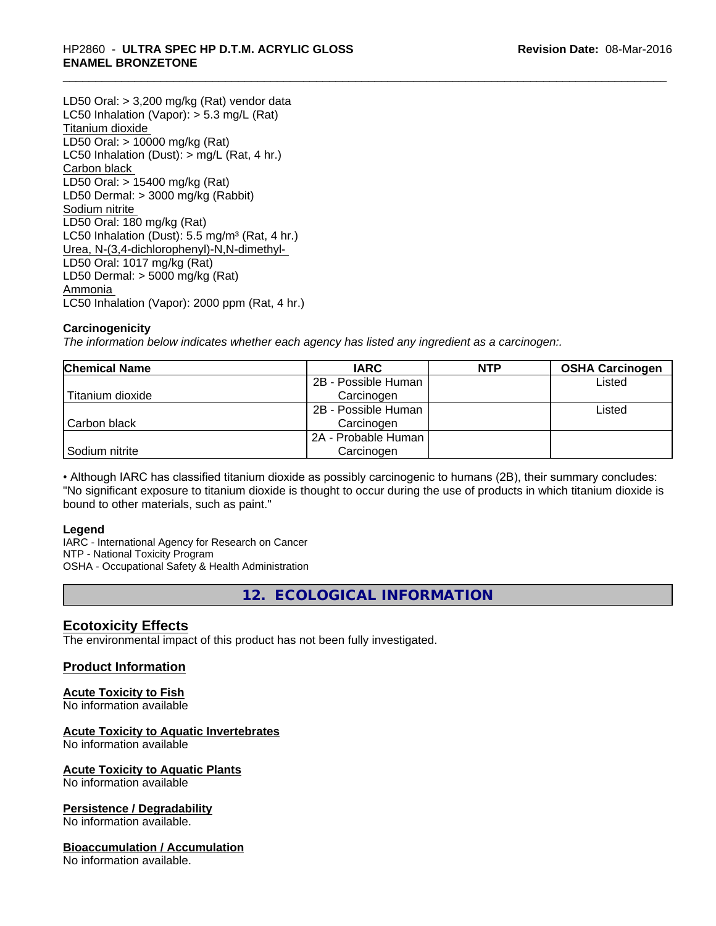#### \_\_\_\_\_\_\_\_\_\_\_\_\_\_\_\_\_\_\_\_\_\_\_\_\_\_\_\_\_\_\_\_\_\_\_\_\_\_\_\_\_\_\_\_\_\_\_\_\_\_\_\_\_\_\_\_\_\_\_\_\_\_\_\_\_\_\_\_\_\_\_\_\_\_\_\_\_\_\_\_\_\_\_\_\_\_\_\_\_\_\_\_\_ HP2860 - **ULTRA SPEC HP D.T.M. ACRYLIC GLOSS ENAMEL BRONZETONE**

LD50 Oral: > 3,200 mg/kg (Rat) vendor data LC50 Inhalation (Vapor): > 5.3 mg/L (Rat) Titanium dioxide LD50 Oral: > 10000 mg/kg (Rat) LC50 Inhalation (Dust): > mg/L (Rat, 4 hr.) Carbon black LD50 Oral: > 15400 mg/kg (Rat) LD50 Dermal: > 3000 mg/kg (Rabbit) Sodium nitrite LD50 Oral: 180 mg/kg (Rat) LC50 Inhalation (Dust):  $5.5 \text{ mg/m}^3$  (Rat, 4 hr.) Urea, N-(3,4-dichlorophenyl)-N,N-dimethyl- LD50 Oral: 1017 mg/kg (Rat) LD50 Dermal: > 5000 mg/kg (Rat) Ammonia LC50 Inhalation (Vapor): 2000 ppm (Rat, 4 hr.)

#### **Carcinogenicity**

*The information below indicateswhether each agency has listed any ingredient as a carcinogen:.*

| <b>Chemical Name</b> | <b>IARC</b>           | <b>NTP</b> | <b>OSHA Carcinogen</b> |
|----------------------|-----------------------|------------|------------------------|
|                      | 2B - Possible Human   |            | Listed                 |
| Titanium dioxide     | Carcinogen            |            |                        |
|                      | 2B - Possible Human   |            | ∟isted                 |
| Carbon black         | Carcinogen            |            |                        |
|                      | l 2A - Probable Human |            |                        |
| Sodium nitrite       | Carcinogen            |            |                        |

• Although IARC has classified titanium dioxide as possibly carcinogenic to humans (2B), their summary concludes: "No significant exposure to titanium dioxide is thought to occur during the use of products in which titanium dioxide is bound to other materials, such as paint."

#### **Legend**

IARC - International Agency for Research on Cancer NTP - National Toxicity Program OSHA - Occupational Safety & Health Administration

**12. ECOLOGICAL INFORMATION**

# **Ecotoxicity Effects**

The environmental impact of this product has not been fully investigated.

#### **Product Information**

#### **Acute Toxicity to Fish**

No information available

# **Acute Toxicity to Aquatic Invertebrates**

No information available

# **Acute Toxicity to Aquatic Plants**

No information available

## **Persistence / Degradability**

No information available.

#### **Bioaccumulation / Accumulation**

No information available.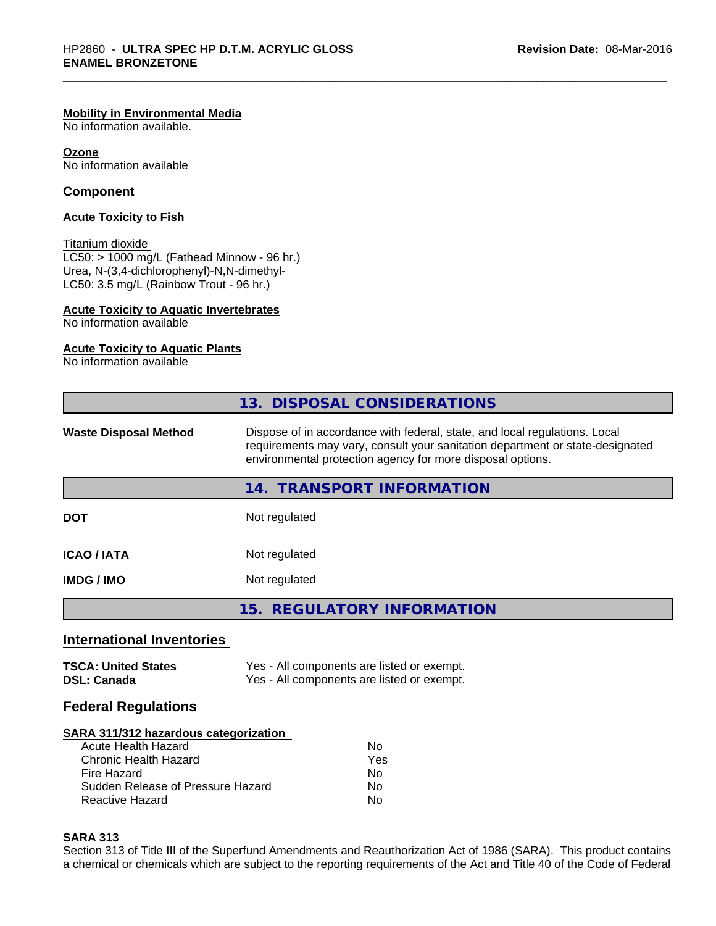#### **Mobility in Environmental Media**

No information available.

#### **Ozone**

No information available

#### **Component**

#### **Acute Toxicity to Fish**

#### Titanium dioxide

 $LCS0: > 1000$  mg/L (Fathead Minnow - 96 hr.) Urea, N-(3,4-dichlorophenyl)-N,N-dimethyl- LC50: 3.5 mg/L (Rainbow Trout - 96 hr.)

#### **Acute Toxicity to Aquatic Invertebrates**

No information available

#### **Acute Toxicity to Aquatic Plants**

No information available

|                              | 13. DISPOSAL CONSIDERATIONS                                                                                                                                                                                               |  |
|------------------------------|---------------------------------------------------------------------------------------------------------------------------------------------------------------------------------------------------------------------------|--|
| <b>Waste Disposal Method</b> | Dispose of in accordance with federal, state, and local regulations. Local<br>requirements may vary, consult your sanitation department or state-designated<br>environmental protection agency for more disposal options. |  |
|                              | <b>TRANSPORT INFORMATION</b><br>14. .                                                                                                                                                                                     |  |
| <b>DOT</b>                   | Not regulated                                                                                                                                                                                                             |  |
| <b>ICAO / IATA</b>           | Not regulated                                                                                                                                                                                                             |  |
| <b>IMDG/IMO</b>              | Not regulated                                                                                                                                                                                                             |  |
|                              | 15. REGULATORY INFORMATION                                                                                                                                                                                                |  |

#### **International Inventories**

| <b>TSCA: United States</b> | Yes - All components are listed or exempt. |
|----------------------------|--------------------------------------------|
| <b>DSL: Canada</b>         | Yes - All components are listed or exempt. |

#### **Federal Regulations**

#### **SARA 311/312 hazardous categorization**

| Acute Health Hazard               | No  |
|-----------------------------------|-----|
| Chronic Health Hazard             | Yes |
| Fire Hazard                       | N٥  |
| Sudden Release of Pressure Hazard | Nο  |
| Reactive Hazard                   | Nο  |

#### **SARA 313**

Section 313 of Title III of the Superfund Amendments and Reauthorization Act of 1986 (SARA). This product contains a chemical or chemicals which are subject to the reporting requirements of the Act and Title 40 of the Code of Federal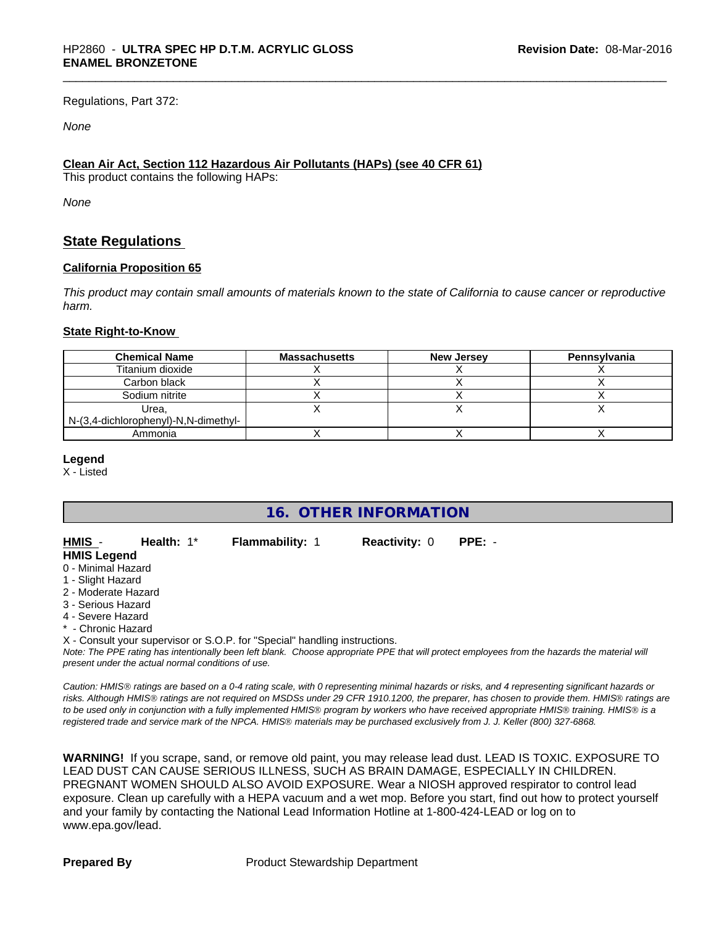Regulations, Part 372:

#### *None*

#### **Clean Air Act,Section 112 Hazardous Air Pollutants (HAPs) (see 40 CFR 61)**

This product contains the following HAPs:

*None*

### **State Regulations**

#### **California Proposition 65**

This product may contain small amounts of materials known to the state of California to cause cancer or reproductive *harm.*

#### **State Right-to-Know**

| <b>Chemical Name</b>                          | <b>Massachusetts</b> | New Jersey | Pennsylvania |
|-----------------------------------------------|----------------------|------------|--------------|
| Titanium dioxide                              |                      |            |              |
| Carbon black                                  |                      |            |              |
| Sodium nitrite                                |                      |            |              |
| Urea,<br>N-(3,4-dichlorophenyl)-N,N-dimethyl- |                      |            |              |
| Ammonia                                       |                      |            |              |

#### **Legend**

X - Listed

# **16. OTHER INFORMATION**

| HMIS -              | Health: $1^*$ | <b>Flammability: 1</b> | <b>Reactivity: 0</b> | PPE: - |  |
|---------------------|---------------|------------------------|----------------------|--------|--|
| <b>HMIS Legend</b>  |               |                        |                      |        |  |
| 0 - Minimal Hazard  |               |                        |                      |        |  |
| 1 - Slight Hazard   |               |                        |                      |        |  |
| 2 - Moderate Hazard |               |                        |                      |        |  |
|                     |               |                        |                      |        |  |

- 
- 3 Serious Hazard
- 4 Severe Hazard

\* - Chronic Hazard

X - Consult your supervisor or S.O.P. for "Special" handling instructions.

*Note: The PPE rating has intentionally been left blank. Choose appropriate PPE that will protect employees from the hazards the material will present under the actual normal conditions of use.*

*Caution: HMISÒ ratings are based on a 0-4 rating scale, with 0 representing minimal hazards or risks, and 4 representing significant hazards or risks. Although HMISÒ ratings are not required on MSDSs under 29 CFR 1910.1200, the preparer, has chosen to provide them. HMISÒ ratings are to be used only in conjunction with a fully implemented HMISÒ program by workers who have received appropriate HMISÒ training. HMISÒ is a registered trade and service mark of the NPCA. HMISÒ materials may be purchased exclusively from J. J. Keller (800) 327-6868.*

**WARNING!** If you scrape, sand, or remove old paint, you may release lead dust. LEAD IS TOXIC. EXPOSURE TO LEAD DUST CAN CAUSE SERIOUS ILLNESS, SUCH AS BRAIN DAMAGE, ESPECIALLY IN CHILDREN. PREGNANT WOMEN SHOULD ALSO AVOID EXPOSURE.Wear a NIOSH approved respirator to control lead exposure. Clean up carefully with a HEPA vacuum and a wet mop. Before you start, find out how to protect yourself and your family by contacting the National Lead Information Hotline at 1-800-424-LEAD or log on to www.epa.gov/lead.

**Prepared By** Product Stewardship Department